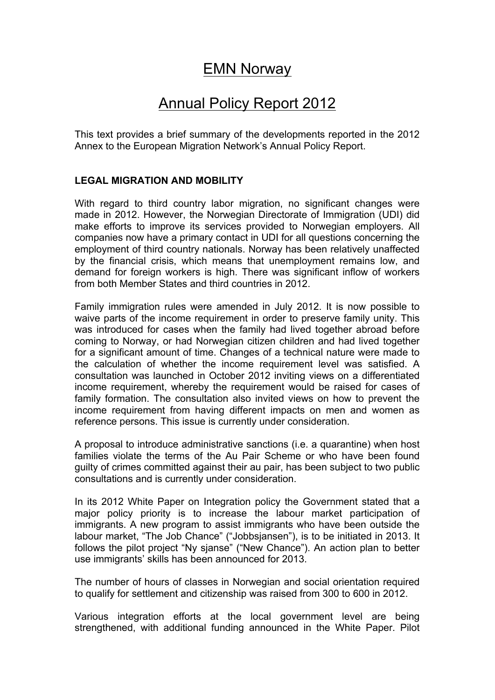## EMN Norway

# Annual Policy Report 2012

This text provides a brief summary of the developments reported in the 2012 Annex to the European Migration Network's Annual Policy Report.

#### **LEGAL MIGRATION AND MOBILITY**

With regard to third country labor migration, no significant changes were made in 2012. However, the Norwegian Directorate of Immigration (UDI) did make efforts to improve its services provided to Norwegian employers. All companies now have a primary contact in UDI for all questions concerning the employment of third country nationals. Norway has been relatively unaffected by the financial crisis, which means that unemployment remains low, and demand for foreign workers is high. There was significant inflow of workers from both Member States and third countries in 2012.

Family immigration rules were amended in July 2012. It is now possible to waive parts of the income requirement in order to preserve family unity. This was introduced for cases when the family had lived together abroad before coming to Norway, or had Norwegian citizen children and had lived together for a significant amount of time. Changes of a technical nature were made to the calculation of whether the income requirement level was satisfied. A consultation was launched in October 2012 inviting views on a differentiated income requirement, whereby the requirement would be raised for cases of family formation. The consultation also invited views on how to prevent the income requirement from having different impacts on men and women as reference persons. This issue is currently under consideration.

A proposal to introduce administrative sanctions (i.e. a quarantine) when host families violate the terms of the Au Pair Scheme or who have been found guilty of crimes committed against their au pair, has been subject to two public consultations and is currently under consideration.

In its 2012 White Paper on Integration policy the Government stated that a major policy priority is to increase the labour market participation of immigrants. A new program to assist immigrants who have been outside the labour market, "The Job Chance" ("Jobbsjansen"), is to be initiated in 2013. It follows the pilot project "Ny sjanse" ("New Chance"). An action plan to better use immigrants' skills has been announced for 2013.

The number of hours of classes in Norwegian and social orientation required to qualify for settlement and citizenship was raised from 300 to 600 in 2012.

Various integration efforts at the local government level are being strengthened, with additional funding announced in the White Paper. Pilot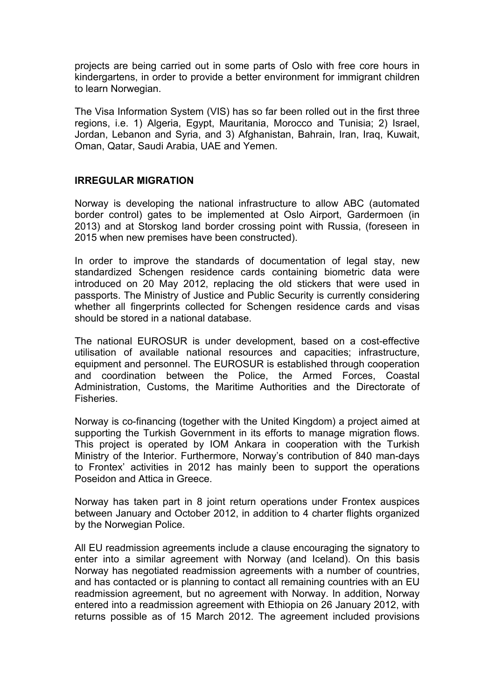projects are being carried out in some parts of Oslo with free core hours in kindergartens, in order to provide a better environment for immigrant children to learn Norwegian.

The Visa Information System (VIS) has so far been rolled out in the first three regions, i.e. 1) Algeria, Egypt, Mauritania, Morocco and Tunisia; 2) Israel, Jordan, Lebanon and Syria, and 3) Afghanistan, Bahrain, Iran, Iraq, Kuwait, Oman, Qatar, Saudi Arabia, UAE and Yemen.

#### **IRREGULAR MIGRATION**

Norway is developing the national infrastructure to allow ABC (automated border control) gates to be implemented at Oslo Airport, Gardermoen (in 2013) and at Storskog land border crossing point with Russia, (foreseen in 2015 when new premises have been constructed).

In order to improve the standards of documentation of legal stay, new standardized Schengen residence cards containing biometric data were introduced on 20 May 2012, replacing the old stickers that were used in passports. The Ministry of Justice and Public Security is currently considering whether all fingerprints collected for Schengen residence cards and visas should be stored in a national database.

The national EUROSUR is under development, based on a cost-effective utilisation of available national resources and capacities; infrastructure, equipment and personnel. The EUROSUR is established through cooperation and coordination between the Police, the Armed Forces, Coastal Administration, Customs, the Maritime Authorities and the Directorate of **Fisheries** 

Norway is co-financing (together with the United Kingdom) a project aimed at supporting the Turkish Government in its efforts to manage migration flows. This project is operated by IOM Ankara in cooperation with the Turkish Ministry of the Interior. Furthermore, Norway's contribution of 840 man-days to Frontex' activities in 2012 has mainly been to support the operations Poseidon and Attica in Greece.

Norway has taken part in 8 joint return operations under Frontex auspices between January and October 2012, in addition to 4 charter flights organized by the Norwegian Police.

All EU readmission agreements include a clause encouraging the signatory to enter into a similar agreement with Norway (and Iceland). On this basis Norway has negotiated readmission agreements with a number of countries, and has contacted or is planning to contact all remaining countries with an EU readmission agreement, but no agreement with Norway. In addition, Norway entered into a readmission agreement with Ethiopia on 26 January 2012, with returns possible as of 15 March 2012. The agreement included provisions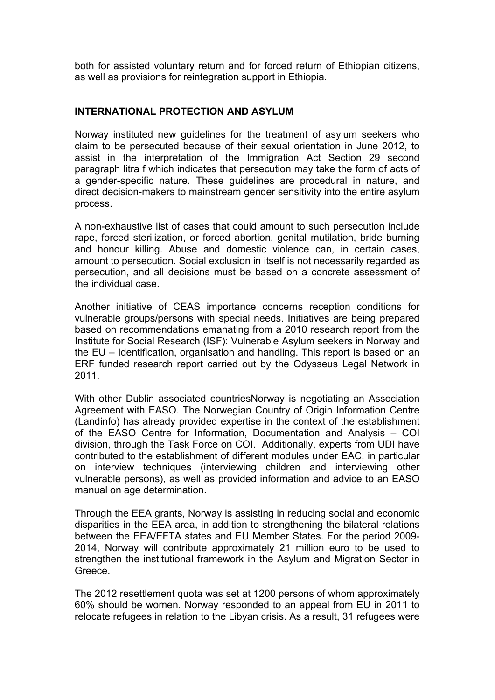both for assisted voluntary return and for forced return of Ethiopian citizens, as well as provisions for reintegration support in Ethiopia.

#### **INTERNATIONAL PROTECTION AND ASYLUM**

Norway instituted new guidelines for the treatment of asylum seekers who claim to be persecuted because of their sexual orientation in June 2012, to assist in the interpretation of the Immigration Act Section 29 second paragraph litra f which indicates that persecution may take the form of acts of a gender-specific nature. These guidelines are procedural in nature, and direct decision-makers to mainstream gender sensitivity into the entire asylum process.

A non-exhaustive list of cases that could amount to such persecution include rape, forced sterilization, or forced abortion, genital mutilation, bride burning and honour killing. Abuse and domestic violence can, in certain cases, amount to persecution. Social exclusion in itself is not necessarily regarded as persecution, and all decisions must be based on a concrete assessment of the individual case.

Another initiative of CEAS importance concerns reception conditions for vulnerable groups/persons with special needs. Initiatives are being prepared based on recommendations emanating from a 2010 research report from the Institute for Social Research (ISF): Vulnerable Asylum seekers in Norway and the EU – Identification, organisation and handling. This report is based on an ERF funded research report carried out by the Odysseus Legal Network in 2011.

With other Dublin associated countriesNorway is negotiating an Association Agreement with EASO. The Norwegian Country of Origin Information Centre (Landinfo) has already provided expertise in the context of the establishment of the EASO Centre for Information, Documentation and Analysis – COI division, through the Task Force on COI. Additionally, experts from UDI have contributed to the establishment of different modules under EAC, in particular on interview techniques (interviewing children and interviewing other vulnerable persons), as well as provided information and advice to an EASO manual on age determination.

Through the EEA grants, Norway is assisting in reducing social and economic disparities in the EEA area, in addition to strengthening the bilateral relations between the EEA/EFTA states and EU Member States. For the period 2009- 2014, Norway will contribute approximately 21 million euro to be used to strengthen the institutional framework in the Asylum and Migration Sector in Greece.

The 2012 resettlement quota was set at 1200 persons of whom approximately 60% should be women. Norway responded to an appeal from EU in 2011 to relocate refugees in relation to the Libyan crisis. As a result, 31 refugees were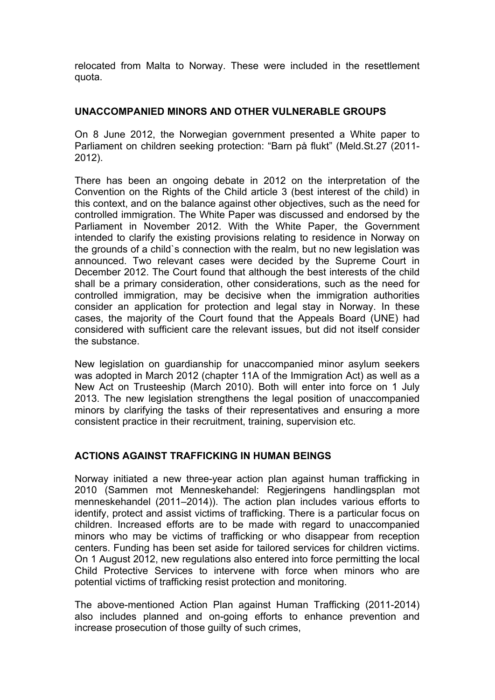relocated from Malta to Norway. These were included in the resettlement quota.

#### **UNACCOMPANIED MINORS AND OTHER VULNERABLE GROUPS**

On 8 June 2012, the Norwegian government presented a White paper to Parliament on children seeking protection: "Barn på flukt" (Meld.St.27 (2011- 2012).

There has been an ongoing debate in 2012 on the interpretation of the Convention on the Rights of the Child article 3 (best interest of the child) in this context, and on the balance against other objectives, such as the need for controlled immigration. The White Paper was discussed and endorsed by the Parliament in November 2012. With the White Paper, the Government intended to clarify the existing provisions relating to residence in Norway on the grounds of a child`s connection with the realm, but no new legislation was announced. Two relevant cases were decided by the Supreme Court in December 2012. The Court found that although the best interests of the child shall be a primary consideration, other considerations, such as the need for controlled immigration, may be decisive when the immigration authorities consider an application for protection and legal stay in Norway. In these cases, the majority of the Court found that the Appeals Board (UNE) had considered with sufficient care the relevant issues, but did not itself consider the substance.

New legislation on guardianship for unaccompanied minor asylum seekers was adopted in March 2012 (chapter 11A of the Immigration Act) as well as a New Act on Trusteeship (March 2010). Both will enter into force on 1 July 2013. The new legislation strengthens the legal position of unaccompanied minors by clarifying the tasks of their representatives and ensuring a more consistent practice in their recruitment, training, supervision etc.

### **ACTIONS AGAINST TRAFFICKING IN HUMAN BEINGS**

Norway initiated a new three-year action plan against human trafficking in 2010 (Sammen mot Menneskehandel: Regjeringens handlingsplan mot menneskehandel (2011–2014)). The action plan includes various efforts to identify, protect and assist victims of trafficking. There is a particular focus on children. Increased efforts are to be made with regard to unaccompanied minors who may be victims of trafficking or who disappear from reception centers. Funding has been set aside for tailored services for children victims. On 1 August 2012, new regulations also entered into force permitting the local Child Protective Services to intervene with force when minors who are potential victims of trafficking resist protection and monitoring.

The above-mentioned Action Plan against Human Trafficking (2011-2014) also includes planned and on-going efforts to enhance prevention and increase prosecution of those guilty of such crimes,